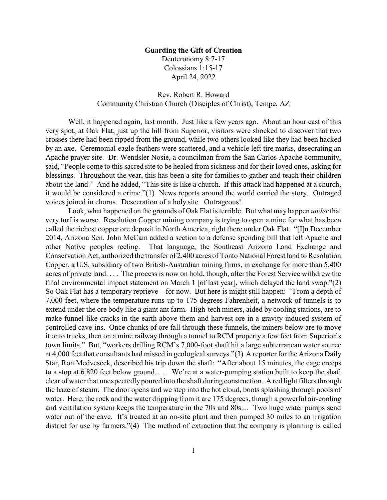## **Guarding the Gift of Creation**

Deuteronomy 8:7-17 Colossians 1:15-17 April 24, 2022

## Rev. Robert R. Howard Community Christian Church (Disciples of Christ), Tempe, AZ

Well, it happened again, last month. Just like a few years ago. About an hour east of this very spot, at Oak Flat, just up the hill from Superior, visitors were shocked to discover that two crosses there had been ripped from the ground, while two others looked like they had been hacked by an axe. Ceremonial eagle feathers were scattered, and a vehicle left tire marks, desecrating an Apache prayer site. Dr. Wendsler Nosie, a councilman from the San Carlos Apache community, said, "People come to this sacred site to be healed from sickness and for their loved ones, asking for blessings. Throughout the year, this has been a site for families to gather and teach their children about the land." And he added, "This site is like a church. If this attack had happened at a church, it would be considered a crime."(1) News reports around the world carried the story. Outraged voices joined in chorus. Desecration of a holy site. Outrageous!

Look, what happened on the grounds of Oak Flat is terrible. But what may happen *under*that very turf is worse. Resolution Copper mining company is trying to open a mine for what has been called the richest copper ore deposit in North America, right there under Oak Flat. "[I]n December 2014, Arizona Sen. John McCain added a section to a defense spending bill that left Apache and other Native peoples reeling. That language, the Southeast Arizona Land Exchange and Conservation Act, authorized the transfer of 2,400 acres of Tonto National Forest land to Resolution Copper, a U.S. subsidiary of two British-Australian mining firms, in exchange for more than 5,400 acres of private land. . . . The process is now on hold, though, after the Forest Service withdrew the final environmental impact statement on March 1 [of last year], which delayed the land swap."(2) So Oak Flat has a temporary reprieve – for now. But here is might still happen: "From a depth of 7,000 feet, where the temperature runs up to 175 degrees Fahrenheit, a network of tunnels is to extend under the ore body like a giant ant farm. High-tech miners, aided by cooling stations, are to make funnel-like cracks in the earth above them and harvest ore in a gravity-induced system of controlled cave-ins. Once chunks of ore fall through these funnels, the miners below are to move it onto trucks, then on a mine railway through a tunnel to RCM property a few feet from Superior's town limits." But, "workers drilling RCM's 7,000-foot shaft hit a large subterranean water source at 4,000 feet that consultants had missed in geological surveys."(3) A reporter for the Arizona Daily Star, Ron Medvescek, described his trip down the shaft: "After about 15 minutes, the cage creeps to a stop at 6,820 feet below ground. . . . We're at a water-pumping station built to keep the shaft clear of water that unexpectedly poured into the shaft during construction. A red light filters through the haze of steam. The door opens and we step into the hot cloud, boots splashing through pools of water. Here, the rock and the water dripping from it are 175 degrees, though a powerful air-cooling and ventilation system keeps the temperature in the 70s and 80s.... Two huge water pumps send water out of the cave. It's treated at an on-site plant and then pumped 30 miles to an irrigation district for use by farmers."(4) The method of extraction that the company is planning is called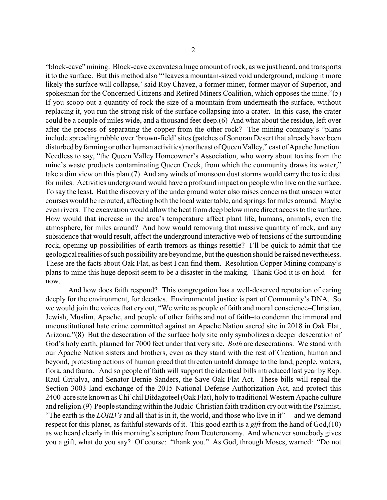"block-cave" mining. Block-cave excavates a huge amount of rock, as we just heard, and transports it to the surface. But this method also "'leaves a mountain-sized void underground, making it more likely the surface will collapse,' said Roy Chavez, a former miner, former mayor of Superior, and spokesman for the Concerned Citizens and Retired Miners Coalition, which opposes the mine."(5) If you scoop out a quantity of rock the size of a mountain from underneath the surface, without replacing it, you run the strong risk of the surface collapsing into a crater. In this case, the crater could be a couple of miles wide, and a thousand feet deep.(6) And what about the residue, left over after the process of separating the copper from the other rock? The mining company's "plans include spreading rubble over 'brown-field' sites (patches of Sonoran Desert that already have been disturbed by farming or other human activities) northeast of Queen Valley," east of Apache Junction. Needless to say, "the Queen Valley Homeowner's Association, who worry about toxins from the mine's waste products contaminating Queen Creek, from which the community draws its water," take a dim view on this plan.(7) And any winds of monsoon dust storms would carry the toxic dust for miles. Activities underground would have a profound impact on people who live on the surface. To say the least. But the discovery of the underground water also raises concerns that unseen water courses would be rerouted, affecting both the local water table, and springs for miles around. Maybe even rivers. The excavation would allow the heat from deep below more direct access to the surface. How would that increase in the area's temperature affect plant life, humans, animals, even the atmosphere, for miles around? And how would removing that massive quantity of rock, and any subsidence that would result, affect the underground interactive web of tensions of the surrounding rock, opening up possibilities of earth tremors as things resettle? I'll be quick to admit that the geological realities of such possibility are beyond me, but the question should be raised nevertheless. These are the facts about Oak Flat, as best I can find them. Resolution Copper Mining company's plans to mine this huge deposit seem to be a disaster in the making. Thank God it is on hold – for now.

And how does faith respond? This congregation has a well-deserved reputation of caring deeply for the environment, for decades. Environmental justice is part of Community's DNA. So we would join the voices that cry out, "We write as people of faith and moral conscience–Christian, Jewish, Muslim, Apache, and people of other faiths and not of faith–to condemn the immoral and unconstitutional hate crime committed against an Apache Nation sacred site in 2018 in Oak Flat, Arizona."(8) But the desecration of the surface holy site only symbolizes a deeper desecration of God's holy earth, planned for 7000 feet under that very site. *Both* are desecrations. We stand with our Apache Nation sisters and brothers, even as they stand with the rest of Creation, human and beyond, protesting actions of human greed that threaten untold damage to the land, people, waters, flora, and fauna. And so people of faith will support the identical bills introduced last year by Rep. Raul Grijalva, and Senator Bernie Sanders, the Save Oak Flat Act. These bills will repeal the Section 3003 land exchange of the 2015 National Defense Authorization Act, and protect this 2400-acre site known as Chí'chil Biłdagoteel (Oak Flat), holy to traditional Western Apache culture and religion.(9) People standingwithin the Judaic-Christian faith tradition cryout with the Psalmist, "The earth is the *LORD's* and all that is in it, the world, and those who live in it"— and we demand respect for this planet, as faithful stewards of it. This good earth is a *gift* from the hand of God,(10) as we heard clearly in this morning's scripture from Deuteronomy. And whenever somebody gives you a gift, what do you say? Of course: "thank you." As God, through Moses, warned: "Do not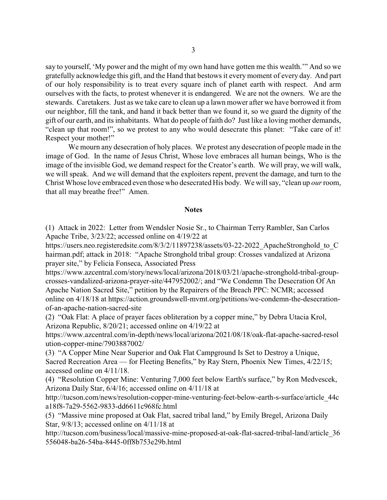say to yourself, 'My power and the might of my own hand have gotten me this wealth.'" And so we gratefully acknowledge this gift, and the Hand that bestows it every moment of every day. And part of our holy responsibility is to treat every square inch of planet earth with respect. And arm ourselves with the facts, to protest whenever it is endangered. We are not the owners. We are the stewards. Caretakers. Just as we take care to clean up a lawn mower after we have borrowed it from our neighbor, fill the tank, and hand it back better than we found it, so we guard the dignity of the gift of our earth, and its inhabitants. What do people of faith do? Just like a loving mother demands, "clean up that room!", so we protest to any who would desecrate this planet: "Take care of it! Respect your mother!"

We mourn any desecration of holy places. We protest any desecration of people made in the image of God. In the name of Jesus Christ, Whose love embraces all human beings, Who is the image of the invisible God, we demand respect for the Creator's earth. We will pray, we will walk, we will speak. And we will demand that the exploiters repent, prevent the damage, and turn to the Christ Whose love embraced even those who desecrated His body. We will say, "clean up *our*room, that all may breathe free!" Amen.

## **Notes**

(1) Attack in 2022: Letter from Wendsler Nosie Sr., to Chairman Terry Rambler, San Carlos Apache Tribe, 3/23/22; accessed online on 4/19/22 at

https://users.neo.registeredsite.com/8/3/2/11897238/assets/03-22-2022\_ApacheStronghold\_to\_C hairman.pdf; attack in 2018: "Apache Stronghold tribal group: Crosses vandalized at Arizona prayer site," by Felicia Fonseca, Associated Press

https://www.azcentral.com/story/news/local/arizona/2018/03/21/apache-stronghold-tribal-groupcrosses-vandalized-arizona-prayer-site/447952002/; and "We Condemn The Desecration Of An Apache Nation Sacred Site," petition by the Repairers of the Breach PPC: NCMR; accessed online on 4/18/18 at https://action.groundswell-mvmt.org/petitions/we-condemn-the-desecrationof-an-apache-nation-sacred-site

(2) "Oak Flat: A place of prayer faces obliteration by a copper mine," by Debra Utacia Krol, Arizona Republic, 8/20/21; accessed online on 4/19/22 at

https://www.azcentral.com/in-depth/news/local/arizona/2021/08/18/oak-flat-apache-sacred-resol ution-copper-mine/7903887002/

(3) "A Copper Mine Near Superior and Oak Flat Campground Is Set to Destroy a Unique, Sacred Recreation Area — for Fleeting Benefits," by Ray Stern, Phoenix New Times, 4/22/15; accessed online on 4/11/18.

(4) "Resolution Copper Mine: Venturing 7,000 feet below Earth's surface," by Ron Medvescek, Arizona Daily Star, 6/4/16; accessed online on 4/11/18 at

http://tucson.com/news/resolution-copper-mine-venturing-feet-below-earth-s-surface/article\_44c a18f8-7a29-5562-9833-dd6611c968fc.html

(5) "Massive mine proposed at Oak Flat, sacred tribal land," by Emily Bregel, Arizona Daily Star, 9/8/13; accessed online on 4/11/18 at

http://tucson.com/business/local/massive-mine-proposed-at-oak-flat-sacred-tribal-land/article 36 556048-ba26-54ba-8445-0ff8b753e29b.html